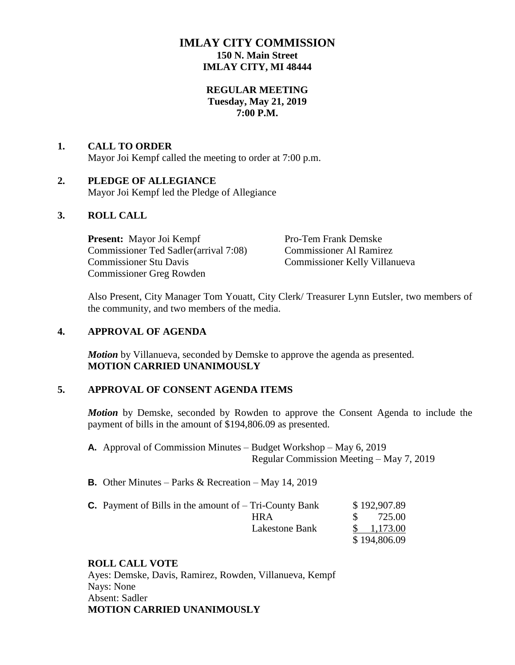# **IMLAY CITY COMMISSION 150 N. Main Street IMLAY CITY, MI 48444**

## **REGULAR MEETING Tuesday, May 21, 2019 7:00 P.M.**

# **1. CALL TO ORDER**

Mayor Joi Kempf called the meeting to order at 7:00 p.m.

## **2. PLEDGE OF ALLEGIANCE**

Mayor Joi Kempf led the Pledge of Allegiance

## **3. ROLL CALL**

**Present:** Mayor Joi Kempf Pro-Tem Frank Demske Commissioner Ted Sadler(arrival 7:08) Commissioner Al Ramirez Commissioner Stu Davis Commissioner Kelly Villanueva Commissioner Greg Rowden

Also Present, City Manager Tom Youatt, City Clerk/ Treasurer Lynn Eutsler, two members of the community, and two members of the media.

## **4. APPROVAL OF AGENDA**

*Motion* by Villanueva, seconded by Demske to approve the agenda as presented. **MOTION CARRIED UNANIMOUSLY**

## **5. APPROVAL OF CONSENT AGENDA ITEMS**

*Motion* by Demske, seconded by Rowden to approve the Consent Agenda to include the payment of bills in the amount of \$194,806.09 as presented.

**A.** Approval of Commission Minutes – Budget Workshop – May 6, 2019 Regular Commission Meeting – May 7, 2019

**B.** Other Minutes – Parks & Recreation – May 14, 2019

| <b>C.</b> Payment of Bills in the amount of $-$ Tri-County Bank | \$192,907.89          |
|-----------------------------------------------------------------|-----------------------|
| HR A                                                            | 725.00                |
| Lakestone Bank                                                  | $\frac{\$}{1,173.00}$ |
|                                                                 | \$194,806.09          |

# **ROLL CALL VOTE**

Ayes: Demske, Davis, Ramirez, Rowden, Villanueva, Kempf Nays: None Absent: Sadler **MOTION CARRIED UNANIMOUSLY**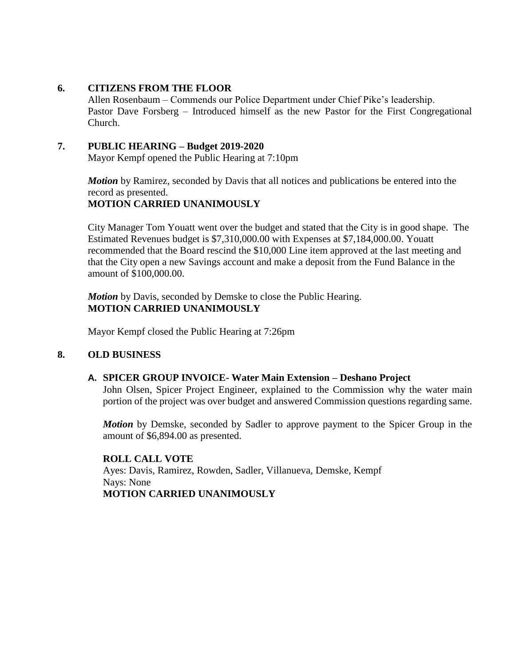## **6. CITIZENS FROM THE FLOOR**

Allen Rosenbaum – Commends our Police Department under Chief Pike's leadership. Pastor Dave Forsberg – Introduced himself as the new Pastor for the First Congregational Church.

## **7. PUBLIC HEARING – Budget 2019-2020**

Mayor Kempf opened the Public Hearing at 7:10pm

*Motion* by Ramirez, seconded by Davis that all notices and publications be entered into the record as presented. **MOTION CARRIED UNANIMOUSLY**

City Manager Tom Youatt went over the budget and stated that the City is in good shape. The Estimated Revenues budget is \$7,310,000.00 with Expenses at \$7,184,000.00. Youatt recommended that the Board rescind the \$10,000 Line item approved at the last meeting and that the City open a new Savings account and make a deposit from the Fund Balance in the amount of \$100,000.00.

*Motion* by Davis, seconded by Demske to close the Public Hearing. **MOTION CARRIED UNANIMOUSLY**

Mayor Kempf closed the Public Hearing at 7:26pm

# **8. OLD BUSINESS**

## **A. SPICER GROUP INVOICE- Water Main Extension – Deshano Project**

John Olsen, Spicer Project Engineer, explained to the Commission why the water main portion of the project was over budget and answered Commission questions regarding same.

*Motion* by Demske, seconded by Sadler to approve payment to the Spicer Group in the amount of \$6,894.00 as presented.

**ROLL CALL VOTE** Ayes: Davis, Ramirez, Rowden, Sadler, Villanueva, Demske, Kempf Nays: None **MOTION CARRIED UNANIMOUSLY**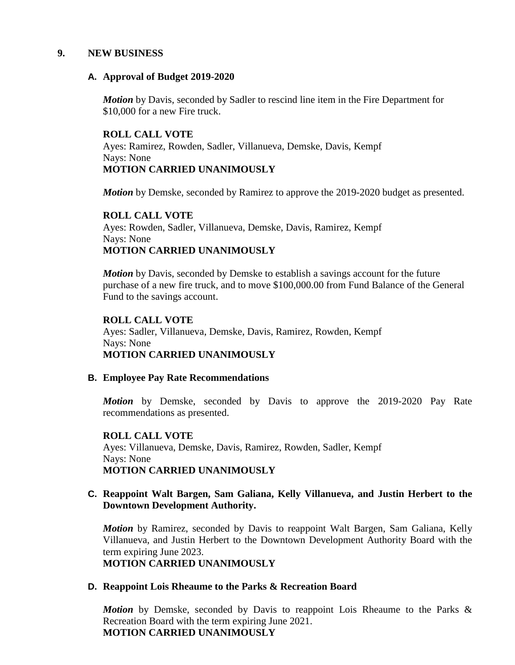#### **9. NEW BUSINESS**

#### **A. Approval of Budget 2019-2020**

*Motion* by Davis, seconded by Sadler to rescind line item in the Fire Department for \$10,000 for a new Fire truck.

## **ROLL CALL VOTE**

Ayes: Ramirez, Rowden, Sadler, Villanueva, Demske, Davis, Kempf Nays: None **MOTION CARRIED UNANIMOUSLY**

*Motion* by Demske, seconded by Ramirez to approve the 2019-2020 budget as presented.

## **ROLL CALL VOTE** Ayes: Rowden, Sadler, Villanueva, Demske, Davis, Ramirez, Kempf Nays: None **MOTION CARRIED UNANIMOUSLY**

*Motion* by Davis, seconded by Demske to establish a savings account for the future purchase of a new fire truck, and to move \$100,000.00 from Fund Balance of the General Fund to the savings account.

## **ROLL CALL VOTE**

Ayes: Sadler, Villanueva, Demske, Davis, Ramirez, Rowden, Kempf Nays: None **MOTION CARRIED UNANIMOUSLY**

## **B. Employee Pay Rate Recommendations**

*Motion* by Demske, seconded by Davis to approve the 2019-2020 Pay Rate recommendations as presented.

## **ROLL CALL VOTE**

Ayes: Villanueva, Demske, Davis, Ramirez, Rowden, Sadler, Kempf Nays: None **MOTION CARRIED UNANIMOUSLY**

## **C. Reappoint Walt Bargen, Sam Galiana, Kelly Villanueva, and Justin Herbert to the Downtown Development Authority.**

*Motion* by Ramirez, seconded by Davis to reappoint Walt Bargen, Sam Galiana, Kelly Villanueva, and Justin Herbert to the Downtown Development Authority Board with the term expiring June 2023. **MOTION CARRIED UNANIMOUSLY**

## **D. Reappoint Lois Rheaume to the Parks & Recreation Board**

*Motion* by Demske, seconded by Davis to reappoint Lois Rheaume to the Parks & Recreation Board with the term expiring June 2021. **MOTION CARRIED UNANIMOUSLY**